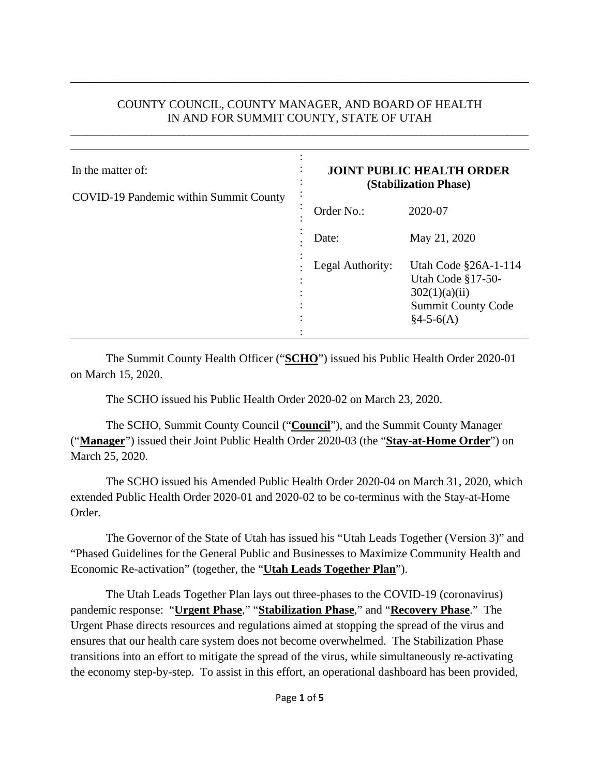#### COUNTY COUNCIL, COUNTY MANAGER, AND BOARD OF HEALTH IN AND FOR SUMMIT COUNTY, STATE OF UTAH

\_\_\_\_\_\_\_\_\_\_\_\_\_\_\_\_\_\_\_\_\_\_\_\_\_\_\_\_\_\_\_\_\_\_\_\_\_\_\_\_\_\_\_\_\_\_\_\_\_\_\_\_\_\_\_\_\_\_\_\_\_\_\_\_\_\_\_\_\_\_\_\_\_\_\_\_\_\_\_\_\_\_\_\_\_

\_\_\_\_\_\_\_\_\_\_\_\_\_\_\_\_\_\_\_\_\_\_\_\_\_\_\_\_\_\_\_\_\_\_\_\_\_\_\_\_\_\_\_\_\_\_\_\_\_\_\_\_\_\_\_\_\_\_\_\_\_\_\_\_\_\_\_\_\_\_\_\_\_\_\_\_\_\_

| In the matter of:<br>COVID-19 Pandemic within Summit County | <b>JOINT PUBLIC HEALTH ORDER</b><br>(Stabilization Phase) |                                                                                                        |
|-------------------------------------------------------------|-----------------------------------------------------------|--------------------------------------------------------------------------------------------------------|
|                                                             | Order No.:                                                | 2020-07                                                                                                |
|                                                             | Date:                                                     | May 21, 2020                                                                                           |
|                                                             | Legal Authority:                                          | Utah Code §26A-1-114<br>Utah Code §17-50-<br>302(1)(a)(ii)<br><b>Summit County Code</b><br>$§4-5-6(A)$ |

The Summit County Health Officer ("**SCHO**") issued his Public Health Order 2020-01 on March 15, 2020.

The SCHO issued his Public Health Order 2020-02 on March 23, 2020.

The SCHO, Summit County Council ("**Council**"), and the Summit County Manager ("**Manager**") issued their Joint Public Health Order 2020-03 (the "**Stay-at-Home Order**") on March 25, 2020.

The SCHO issued his Amended Public Health Order 2020-04 on March 31, 2020, which extended Public Health Order 2020-01 and 2020-02 to be co-terminus with the Stay-at-Home Order.

The Governor of the State of Utah has issued his "Utah Leads Together (Version 3)" and "Phased Guidelines for the General Public and Businesses to Maximize Community Health and Economic Re-activation" (together, the "**Utah Leads Together Plan**").

The Utah Leads Together Plan lays out three-phases to the COVID-19 (coronavirus) pandemic response: "**Urgent Phase**," "**Stabilization Phase**," and "**Recovery Phase**." The Urgent Phase directs resources and regulations aimed at stopping the spread of the virus and ensures that our health care system does not become overwhelmed. The Stabilization Phase transitions into an effort to mitigate the spread of the virus, while simultaneously re-activating the economy step-by-step. To assist in this effort, an operational dashboard has been provided,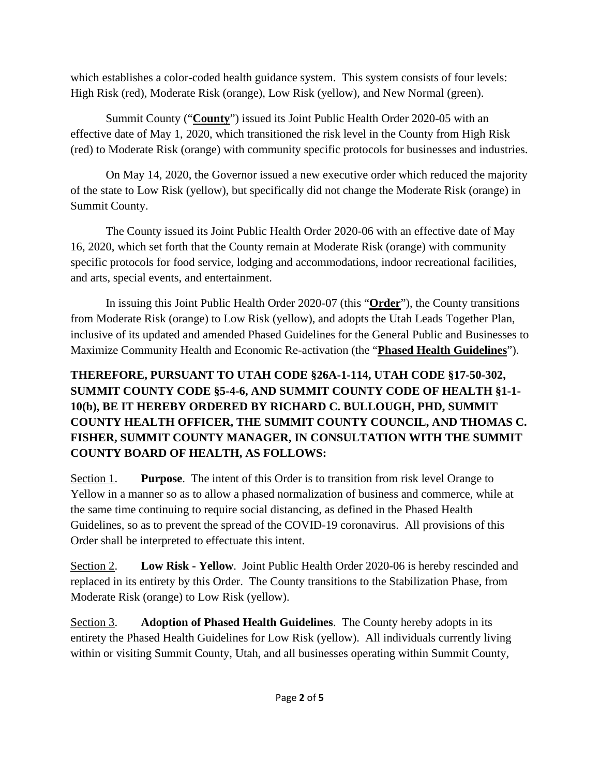which establishes a color-coded health guidance system. This system consists of four levels: High Risk (red), Moderate Risk (orange), Low Risk (yellow), and New Normal (green).

Summit County ("**County**") issued its Joint Public Health Order 2020-05 with an effective date of May 1, 2020, which transitioned the risk level in the County from High Risk (red) to Moderate Risk (orange) with community specific protocols for businesses and industries.

On May 14, 2020, the Governor issued a new executive order which reduced the majority of the state to Low Risk (yellow), but specifically did not change the Moderate Risk (orange) in Summit County.

The County issued its Joint Public Health Order 2020-06 with an effective date of May 16, 2020, which set forth that the County remain at Moderate Risk (orange) with community specific protocols for food service, lodging and accommodations, indoor recreational facilities, and arts, special events, and entertainment.

In issuing this Joint Public Health Order 2020-07 (this "**Order**"), the County transitions from Moderate Risk (orange) to Low Risk (yellow), and adopts the Utah Leads Together Plan, inclusive of its updated and amended Phased Guidelines for the General Public and Businesses to Maximize Community Health and Economic Re-activation (the "**Phased Health Guidelines**").

# **THEREFORE, PURSUANT TO UTAH CODE §26A-1-114, UTAH CODE §17-50-302, SUMMIT COUNTY CODE §5-4-6, AND SUMMIT COUNTY CODE OF HEALTH §1-1- 10(b), BE IT HEREBY ORDERED BY RICHARD C. BULLOUGH, PHD, SUMMIT COUNTY HEALTH OFFICER, THE SUMMIT COUNTY COUNCIL, AND THOMAS C. FISHER, SUMMIT COUNTY MANAGER, IN CONSULTATION WITH THE SUMMIT COUNTY BOARD OF HEALTH, AS FOLLOWS:**

Section 1. **Purpose**. The intent of this Order is to transition from risk level Orange to Yellow in a manner so as to allow a phased normalization of business and commerce, while at the same time continuing to require social distancing, as defined in the Phased Health Guidelines, so as to prevent the spread of the COVID-19 coronavirus. All provisions of this Order shall be interpreted to effectuate this intent.

Section 2. **Low Risk - Yellow**. Joint Public Health Order 2020-06 is hereby rescinded and replaced in its entirety by this Order. The County transitions to the Stabilization Phase, from Moderate Risk (orange) to Low Risk (yellow).

Section 3. **Adoption of Phased Health Guidelines**. The County hereby adopts in its entirety the Phased Health Guidelines for Low Risk (yellow). All individuals currently living within or visiting Summit County, Utah, and all businesses operating within Summit County,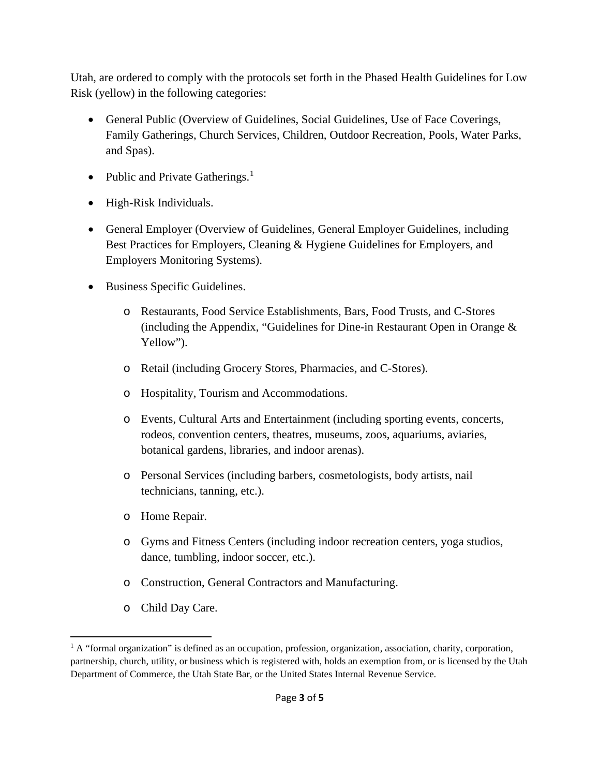Utah, are ordered to comply with the protocols set forth in the Phased Health Guidelines for Low Risk (yellow) in the following categories:

- General Public (Overview of Guidelines, Social Guidelines, Use of Face Coverings, Family Gatherings, Church Services, Children, Outdoor Recreation, Pools, Water Parks, and Spas).
- Public and Private Gatherings.<sup>1</sup>
- High-Risk Individuals.
- General Employer (Overview of Guidelines, General Employer Guidelines, including Best Practices for Employers, Cleaning & Hygiene Guidelines for Employers, and Employers Monitoring Systems).
- Business Specific Guidelines.
	- o Restaurants, Food Service Establishments, Bars, Food Trusts, and C-Stores (including the Appendix, "Guidelines for Dine-in Restaurant Open in Orange & Yellow").
	- o Retail (including Grocery Stores, Pharmacies, and C-Stores).
	- o Hospitality, Tourism and Accommodations.
	- o Events, Cultural Arts and Entertainment (including sporting events, concerts, rodeos, convention centers, theatres, museums, zoos, aquariums, aviaries, botanical gardens, libraries, and indoor arenas).
	- o Personal Services (including barbers, cosmetologists, body artists, nail technicians, tanning, etc.).
	- o Home Repair.
	- o Gyms and Fitness Centers (including indoor recreation centers, yoga studios, dance, tumbling, indoor soccer, etc.).
	- o Construction, General Contractors and Manufacturing.
	- o Child Day Care.

 $1$  A "formal organization" is defined as an occupation, profession, organization, association, charity, corporation, partnership, church, utility, or business which is registered with, holds an exemption from, or is licensed by the Utah Department of Commerce, the Utah State Bar, or the United States Internal Revenue Service.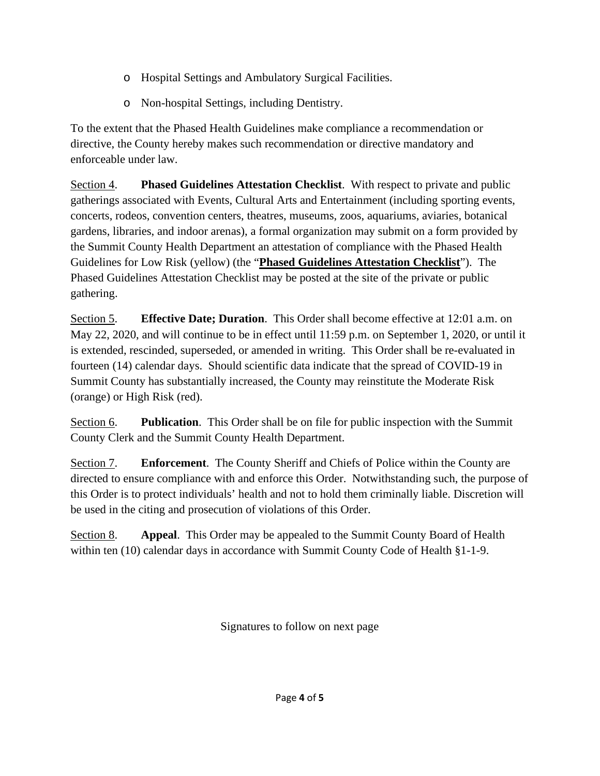- o Hospital Settings and Ambulatory Surgical Facilities.
- o Non-hospital Settings, including Dentistry.

To the extent that the Phased Health Guidelines make compliance a recommendation or directive, the County hereby makes such recommendation or directive mandatory and enforceable under law.

Section 4. **Phased Guidelines Attestation Checklist**. With respect to private and public gatherings associated with Events, Cultural Arts and Entertainment (including sporting events, concerts, rodeos, convention centers, theatres, museums, zoos, aquariums, aviaries, botanical gardens, libraries, and indoor arenas), a formal organization may submit on a form provided by the Summit County Health Department an attestation of compliance with the Phased Health Guidelines for Low Risk (yellow) (the "**Phased Guidelines Attestation Checklist**"). The Phased Guidelines Attestation Checklist may be posted at the site of the private or public gathering.

Section 5. **Effective Date; Duration**. This Order shall become effective at 12:01 a.m. on May 22, 2020, and will continue to be in effect until 11:59 p.m. on September 1, 2020, or until it is extended, rescinded, superseded, or amended in writing. This Order shall be re-evaluated in fourteen (14) calendar days. Should scientific data indicate that the spread of COVID-19 in Summit County has substantially increased, the County may reinstitute the Moderate Risk (orange) or High Risk (red).

Section 6. **Publication**. This Order shall be on file for public inspection with the Summit County Clerk and the Summit County Health Department.

Section 7. **Enforcement**. The County Sheriff and Chiefs of Police within the County are directed to ensure compliance with and enforce this Order. Notwithstanding such, the purpose of this Order is to protect individuals' health and not to hold them criminally liable. Discretion will be used in the citing and prosecution of violations of this Order.

Section 8. **Appeal**. This Order may be appealed to the Summit County Board of Health within ten (10) calendar days in accordance with Summit County Code of Health §1-1-9.

Signatures to follow on next page